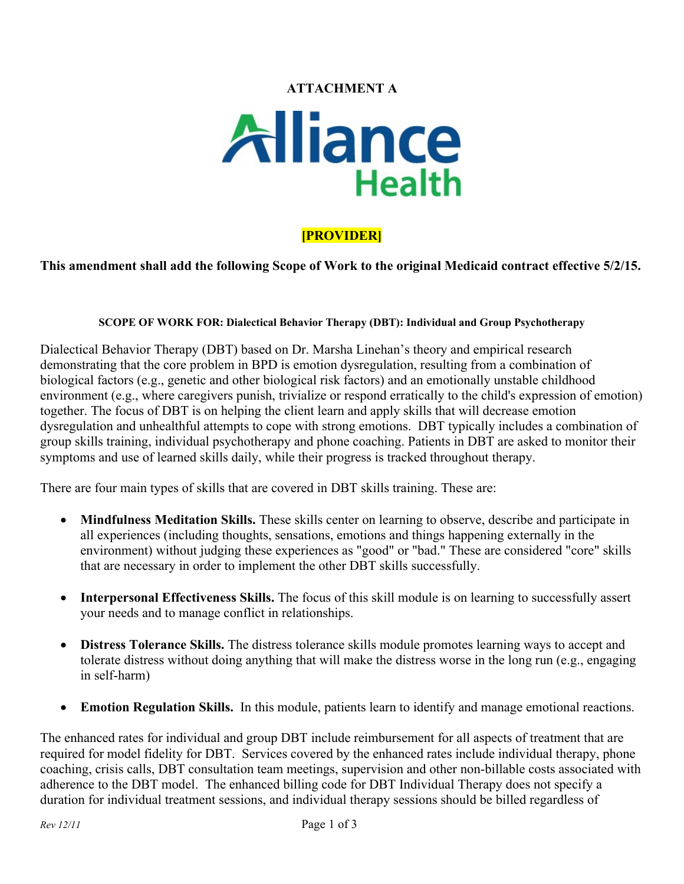# **ATTACHMENT A**



# **[PROVIDER]**

## **This amendment shall add the following Scope of Work to the original Medicaid contract effective 5/2/15.**

#### **SCOPE OF WORK FOR: Dialectical Behavior Therapy (DBT): Individual and Group Psychotherapy**

Dialectical Behavior Therapy (DBT) based on Dr. Marsha Linehan's theory and empirical research demonstrating that the core problem in BPD is emotion dysregulation, resulting from a combination of biological factors (e.g., genetic and other biological risk factors) and an emotionally unstable childhood environment (e.g., where caregivers punish, trivialize or respond erratically to the child's expression of emotion) together. The focus of DBT is on helping the client learn and apply skills that will decrease emotion dysregulation and unhealthful attempts to cope with strong emotions. DBT typically includes a combination of group skills training, individual psychotherapy and phone coaching. Patients in DBT are asked to monitor their symptoms and use of learned skills daily, while their progress is tracked throughout therapy.

There are four main types of skills that are covered in DBT skills training. These are:

- **[Mindfulness Meditation Skills.](http://bpd.about.com/od/livingwithbpd/a/mindfulness.htm)** These skills center on learning to observe, describe and participate in all experiences (including thoughts, sensations, emotions and things happening externally in the environment) without judging these experiences as "good" or "bad." These are considered "core" skills that are necessary in order to implement the other DBT skills successfully.
- **Interpersonal Effectiveness Skills.** The focus of this skill module is on learning to successfully assert your needs and to manage conflict in relationships.
- **[Distress Tolerance Skills.](http://bpd.about.com/od/livingwithbpd/a/distress.htm)** The distress tolerance skills module promotes learning ways to accept and tolerate distress without doing anything that will make the distress worse in the long run (e.g., engaging in self-harm)
- **Emotion Regulation Skills.** In this module, patients learn to identify and manage emotional reactions.

The enhanced rates for individual and group DBT include reimbursement for all aspects of treatment that are required for model fidelity for DBT. Services covered by the enhanced rates include individual therapy, phone coaching, crisis calls, DBT consultation team meetings, supervision and other non-billable costs associated with adherence to the DBT model. The enhanced billing code for DBT Individual Therapy does not specify a duration for individual treatment sessions, and individual therapy sessions should be billed regardless of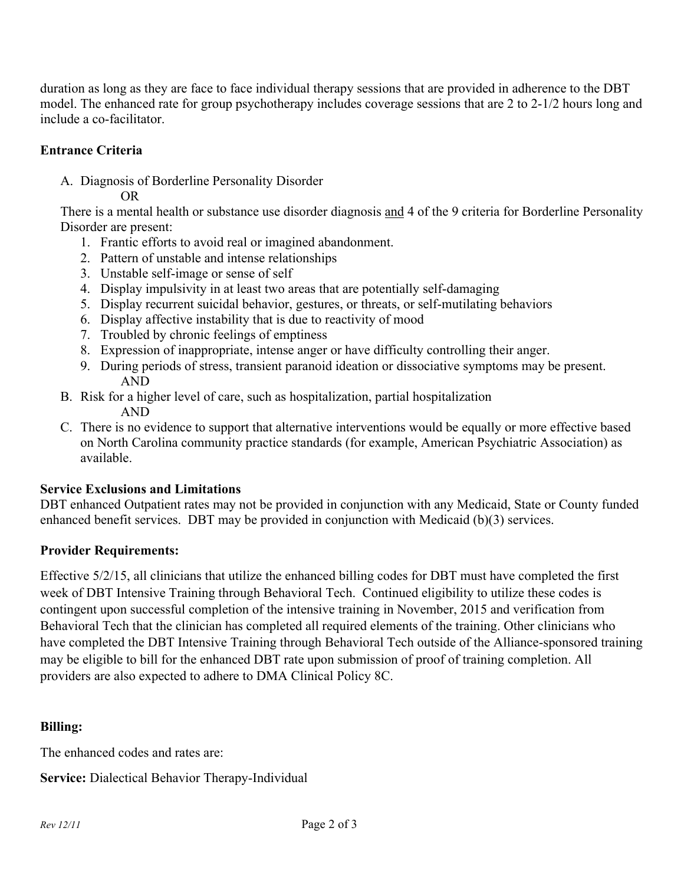duration as long as they are face to face individual therapy sessions that are provided in adherence to the DBT model. The enhanced rate for group psychotherapy includes coverage sessions that are 2 to 2-1/2 hours long and include a co-facilitator.

# **Entrance Criteria**

A. Diagnosis of Borderline Personality Disorder

OR

There is a mental health or substance use disorder diagnosis and 4 of the 9 criteria for Borderline Personality Disorder are present:

- 1. Frantic efforts to avoid real or imagined abandonment.
- 2. Pattern of unstable and intense relationships
- 3. Unstable self-image or sense of self
- 4. Display impulsivity in at least two areas that are potentially self-damaging
- 5. Display recurrent suicidal behavior, gestures, or threats, or self-mutilating behaviors
- 6. Display affective instability that is due to reactivity of mood
- 7. Troubled by chronic feelings of emptiness
- 8. Expression of inappropriate, intense anger or have difficulty controlling their anger.
- 9. During periods of stress, transient paranoid ideation or dissociative symptoms may be present. AND
- B. Risk for a higher level of care, such as hospitalization, partial hospitalization AND
- C. There is no evidence to support that alternative interventions would be equally or more effective based on North Carolina community practice standards (for example, American Psychiatric Association) as available.

#### **Service Exclusions and Limitations**

DBT enhanced Outpatient rates may not be provided in conjunction with any Medicaid, State or County funded enhanced benefit services. DBT may be provided in conjunction with Medicaid (b)(3) services.

#### **Provider Requirements:**

Effective 5/2/15, all clinicians that utilize the enhanced billing codes for DBT must have completed the first week of DBT Intensive Training through Behavioral Tech. Continued eligibility to utilize these codes is contingent upon successful completion of the intensive training in November, 2015 and verification from Behavioral Tech that the clinician has completed all required elements of the training. Other clinicians who have completed the DBT Intensive Training through Behavioral Tech outside of the Alliance-sponsored training may be eligible to bill for the enhanced DBT rate upon submission of proof of training completion. All providers are also expected to adhere to DMA Clinical Policy 8C.

# **Billing:**

The enhanced codes and rates are:

**Service:** Dialectical Behavior Therapy-Individual